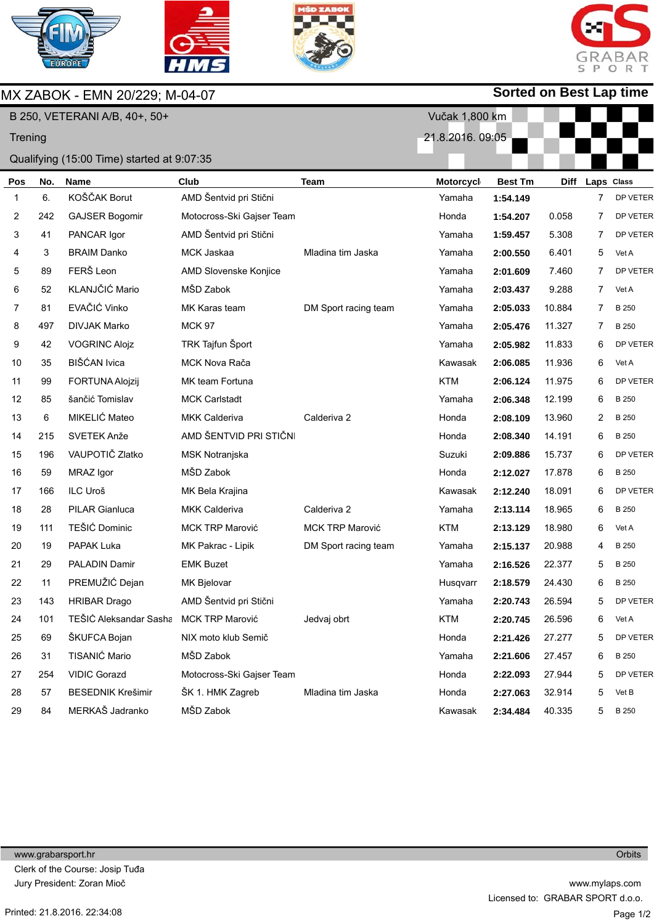

MX ZABOK - EMN 20/229; M-04-07







## **Sorted on Best Lap time**

| B 250, VETERANI A/B, 40+, 50+ |     |                                            |                           |                        | Vučak 1,800 km  |                |             |                |              |
|-------------------------------|-----|--------------------------------------------|---------------------------|------------------------|-----------------|----------------|-------------|----------------|--------------|
| Trening                       |     |                                            |                           |                        | 21.8.2016.09:05 |                |             |                |              |
|                               |     | Qualifying (15:00 Time) started at 9:07:35 |                           |                        |                 |                |             |                |              |
| Pos                           | No. | <b>Name</b>                                | Club                      | <b>Team</b>            | Motorcycl       | <b>Best Tm</b> | <b>Diff</b> | Laps Class     |              |
| 1                             | 6.  | KOŠČAK Borut                               | AMD Šentvid pri Stični    |                        | Yamaha          | 1:54.149       |             | $\overline{7}$ | DP VETER     |
| 2                             | 242 | <b>GAJSER Bogomir</b>                      | Motocross-Ski Gajser Team |                        | Honda           | 1:54.207       | 0.058       | 7              | DP VETER     |
| 3                             | 41  | PANCAR Igor                                | AMD Šentvid pri Stični    |                        | Yamaha          | 1:59.457       | 5.308       | 7              | DP VETER     |
| 4                             | 3   | <b>BRAIM Danko</b>                         | MCK Jaskaa                | Mladina tim Jaska      | Yamaha          | 2:00.550       | 6.401       | 5              | Vet A        |
| 5                             | 89  | FERŠ Leon                                  | AMD Slovenske Konjice     |                        | Yamaha          | 2:01.609       | 7.460       | 7              | DP VETER     |
| 6                             | 52  | KLANJČIĆ Mario                             | MŠD Zabok                 |                        | Yamaha          | 2:03.437       | 9.288       | 7              | Vet A        |
| 7                             | 81  | EVAČIĆ Vinko                               | MK Karas team             | DM Sport racing team   | Yamaha          | 2:05.033       | 10.884      | 7              | B 250        |
| 8                             | 497 | <b>DIVJAK Marko</b>                        | <b>MCK 97</b>             |                        | Yamaha          | 2:05.476       | 11.327      | 7              | B 250        |
| 9                             | 42  | <b>VOGRINC Alojz</b>                       | TRK Tajfun Šport          |                        | Yamaha          | 2:05.982       | 11.833      | 6              | DP VETER     |
| 10                            | 35  | BIŠĆAN Ivica                               | MCK Nova Rača             |                        | Kawasak         | 2:06.085       | 11.936      | 6              | Vet A        |
| 11                            | 99  | FORTUNA Alojzij                            | MK team Fortuna           |                        | <b>KTM</b>      | 2:06.124       | 11.975      | 6              | DP VETER     |
| 12                            | 85  | šančić Tomislav                            | <b>MCK Carlstadt</b>      |                        | Yamaha          | 2:06.348       | 12.199      | 6              | B 250        |
| 13                            | 6   | MIKELIĆ Mateo                              | <b>MKK Calderiva</b>      | Calderiva 2            | Honda           | 2:08.109       | 13.960      | 2              | B 250        |
| 14                            | 215 | SVETEK Anže                                | AMD ŠENTVID PRI STIČNI    |                        | Honda           | 2:08.340       | 14.191      | 6              | B 250        |
| 15                            | 196 | VAUPOTIČ Zlatko                            | MSK Notranjska            |                        | Suzuki          | 2:09.886       | 15.737      | 6              | DP VETER     |
| 16                            | 59  | MRAZ Igor                                  | MŠD Zabok                 |                        | Honda           | 2:12.027       | 17.878      | 6              | <b>B</b> 250 |
| 17                            | 166 | ILC Uroš                                   | MK Bela Krajina           |                        | Kawasak         | 2:12.240       | 18.091      | 6              | DP VETER     |
| 18                            | 28  | <b>PILAR Gianluca</b>                      | <b>MKK Calderiva</b>      | Calderiva 2            | Yamaha          | 2:13.114       | 18.965      | 6              | B 250        |
| 19                            | 111 | TEŠIĆ Dominic                              | <b>MCK TRP Marović</b>    | <b>MCK TRP Marović</b> | <b>KTM</b>      | 2:13.129       | 18.980      | 6              | Vet A        |
| 20                            | 19  | PAPAK Luka                                 | MK Pakrac - Lipik         | DM Sport racing team   | Yamaha          | 2:15.137       | 20.988      | 4              | B 250        |
| 21                            | 29  | <b>PALADIN Damir</b>                       | <b>EMK Buzet</b>          |                        | Yamaha          | 2:16.526       | 22.377      | 5              | <b>B</b> 250 |
| 22                            | 11  | PREMUŽIĆ Dejan                             | MK Bjelovar               |                        | Husqvarr        | 2:18.579       | 24.430      | 6              | B 250        |
| 23                            | 143 | <b>HRIBAR Drago</b>                        | AMD Šentvid pri Stični    |                        | Yamaha          | 2:20.743       | 26.594      | 5              | DP VETER     |
| 24                            | 101 | TEŠIĆ Aleksandar Sasha MCK TRP Marović     |                           | Jedvaj obrt            | <b>KTM</b>      | 2:20.745       | 26.596      | 6              | Vet A        |
| 25                            | 69  | ŠKUFCA Bojan                               | NIX moto klub Semič       |                        | Honda           | 2:21.426       | 27.277      | 5              | DP VETER     |
| 26                            | 31  | TISANIĆ Mario                              | MŠD Zabok                 |                        | Yamaha          | 2:21.606       | 27.457      | 6              | B 250        |
| 27                            | 254 | <b>VIDIC Gorazd</b>                        | Motocross-Ski Gajser Team |                        | Honda           | 2:22.093       | 27.944      | 5              | DP VETER     |
| 28                            | 57  | <b>BESEDNIK Krešimir</b>                   | ŠK 1. HMK Zagreb          | Mladina tim Jaska      | Honda           | 2:27.063       | 32.914      | 5              | Vet B        |
| 29                            | 84  | MERKAŠ Jadranko                            | MŠD Zabok                 |                        | Kawasak         | 2:34.484       | 40.335      | 5              | B 250        |